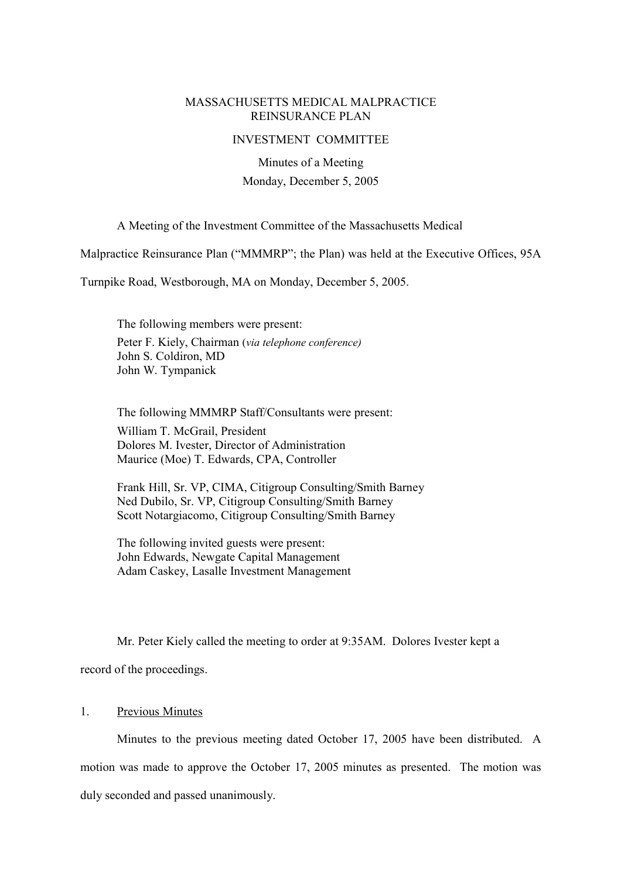### MASSACHUSETTS MEDICAL MALPRACTICE REINSURANCE PLAN

#### INVESTMENT COMMITTEE

Minutes of a Meeting Monday, December 5, 2005

A Meeting of the Investment Committee of the Massachusetts Medical

Malpractice Reinsurance Plan ("MMMRP"; the Plan) was held at the Executive Offices, 95A

Turnpike Road, Westborough, MA on Monday, December 5, 2005.

The following members were present: Peter F. Kiely, Chairman (via telephone conference) John S. Coldiron, MD John W. Tympanick

The following MMMRP Staff/Consultants were present: William T. McGrail, President Dolores M. Ivester, Director of Administration Maurice (Moe) T. Edwards, CPA, Controller

Frank Hill, Sr. VP, CIMA, Citigroup Consulting/Smith Barney Ned Dubilo, Sr. VP, Citigroup Consulting/Smith Barney Scott Notargiacomo, Citigroup Consulting/Smith Barney

The following invited guests were present: John Edwards, Newgate Capital Management Adam Caskey, Lasalle Investment Management

Mr. Peter Kiely called the meeting to order at 9:35AM. Dolores Ivester kept a

record of the proceedings.

#### 1. Previous Minutes

Minutes to the previous meeting dated October 17, 2005 have been distributed. A motion was made to approve the October 17, 2005 minutes as presented. The motion was duly seconded and passed unanimously.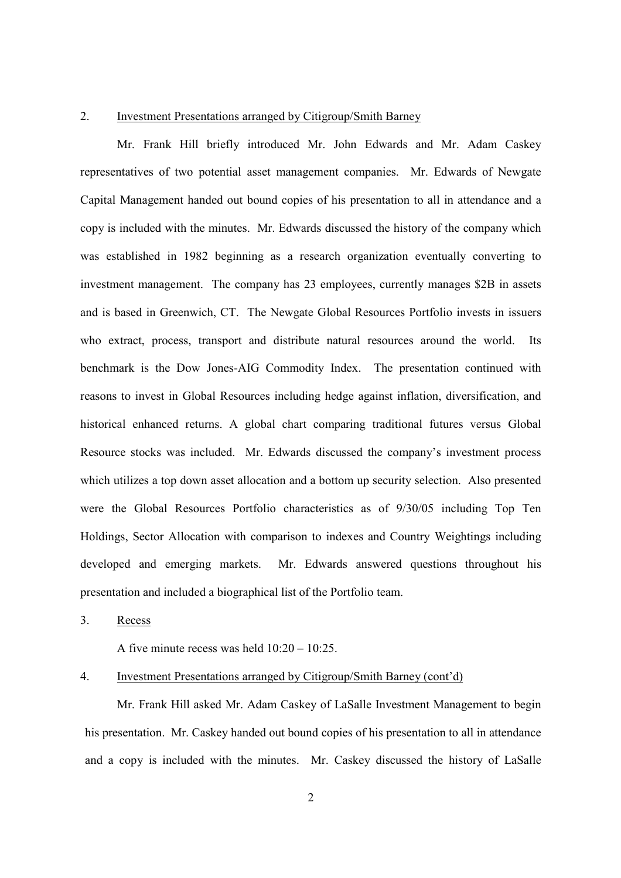#### 2. Investment Presentations arranged by Citigroup/Smith Barney

Mr. Frank Hill briefly introduced Mr. John Edwards and Mr. Adam Caskey representatives of two potential asset management companies. Mr. Edwards of Newgate Capital Management handed out bound copies of his presentation to all in attendance and a copy is included with the minutes. Mr. Edwards discussed the history of the company which was established in 1982 beginning as a research organization eventually converting to investment management. The company has 23 employees, currently manages \$2B in assets and is based in Greenwich, CT. The Newgate Global Resources Portfolio invests in issuers who extract, process, transport and distribute natural resources around the world. Its benchmark is the Dow Jones-AIG Commodity Index. The presentation continued with reasons to invest in Global Resources including hedge against inflation, diversification, and historical enhanced returns. A global chart comparing traditional futures versus Global Resource stocks was included. Mr. Edwards discussed the company's investment process which utilizes a top down asset allocation and a bottom up security selection. Also presented were the Global Resources Portfolio characteristics as of 9/30/05 including Top Ten Holdings, Sector Allocation with comparison to indexes and Country Weightings including developed and emerging markets. Mr. Edwards answered questions throughout his presentation and included a biographical list of the Portfolio team.

3. Recess

A five minute recess was held  $10:20 - 10:25$ .

4. Investment Presentations arranged by Citigroup/Smith Barney (cont'd)

Mr. Frank Hill asked Mr. Adam Caskey of LaSalle Investment Management to begin his presentation. Mr. Caskey handed out bound copies of his presentation to all in attendance and a copy is included with the minutes. Mr. Caskey discussed the history of LaSalle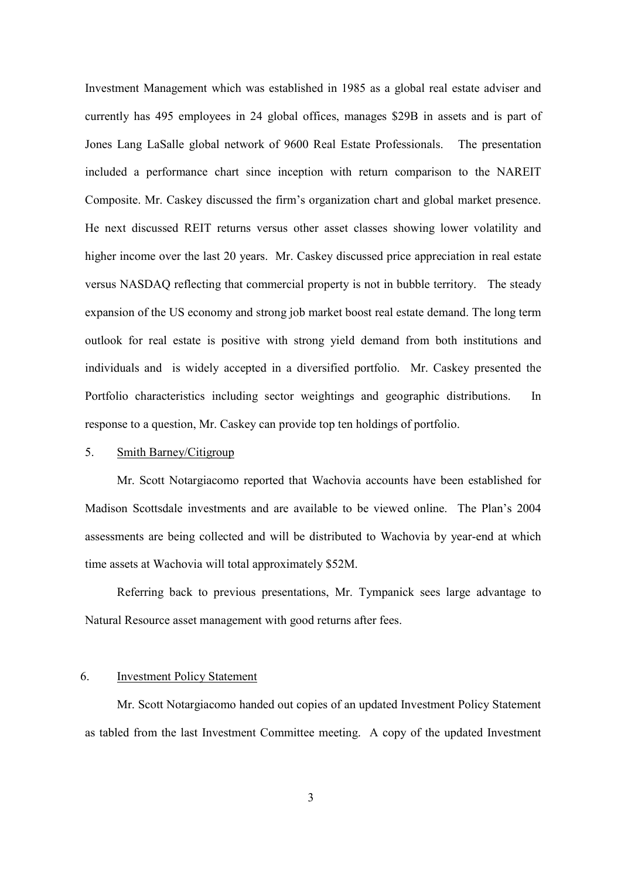Investment Management which was established in 1985 as a global real estate adviser and currently has 495 employees in 24 global offices, manages \$29B in assets and is part of Jones Lang LaSalle global network of 9600 Real Estate Professionals. The presentation included a performance chart since inception with return comparison to the NAREIT Composite. Mr. Caskey discussed the firm's organization chart and global market presence. He next discussed REIT returns versus other asset classes showing lower volatility and higher income over the last 20 years. Mr. Caskey discussed price appreciation in real estate versus NASDAQ reflecting that commercial property is not in bubble territory. The steady expansion of the US economy and strong job market boost real estate demand. The long term outlook for real estate is positive with strong yield demand from both institutions and individuals and is widely accepted in a diversified portfolio. Mr. Caskey presented the Portfolio characteristics including sector weightings and geographic distributions. In response to a question, Mr. Caskey can provide top ten holdings of portfolio.

# 5. Smith Barney/Citigroup

Mr. Scott Notargiacomo reported that Wachovia accounts have been established for Madison Scottsdale investments and are available to be viewed online. The Plan's 2004 assessments are being collected and will be distributed to Wachovia by year-end at which time assets at Wachovia will total approximately \$52M.

Referring back to previous presentations, Mr. Tympanick sees large advantage to Natural Resource asset management with good returns after fees.

### 6. Investment Policy Statement

Mr. Scott Notargiacomo handed out copies of an updated Investment Policy Statement as tabled from the last Investment Committee meeting. A copy of the updated Investment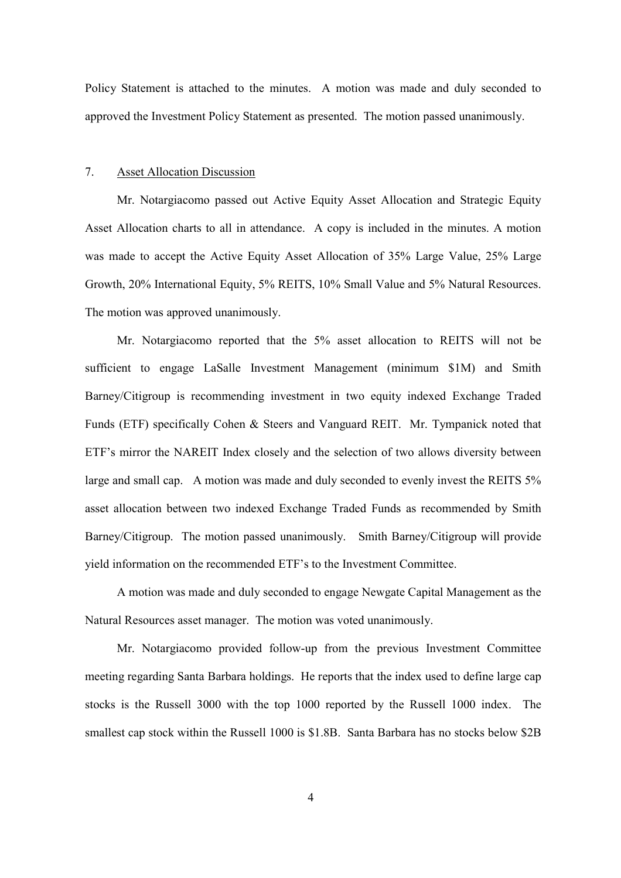Policy Statement is attached to the minutes. A motion was made and duly seconded to approved the Investment Policy Statement as presented. The motion passed unanimously.

### 7. Asset Allocation Discussion

Mr. Notargiacomo passed out Active Equity Asset Allocation and Strategic Equity Asset Allocation charts to all in attendance. A copy is included in the minutes. A motion was made to accept the Active Equity Asset Allocation of 35% Large Value, 25% Large Growth, 20% International Equity, 5% REITS, 10% Small Value and 5% Natural Resources. The motion was approved unanimously.

Mr. Notargiacomo reported that the 5% asset allocation to REITS will not be sufficient to engage LaSalle Investment Management (minimum \$1M) and Smith Barney/Citigroup is recommending investment in two equity indexed Exchange Traded Funds (ETF) specifically Cohen & Steers and Vanguard REIT. Mr. Tympanick noted that ETF's mirror the NAREIT Index closely and the selection of two allows diversity between large and small cap. A motion was made and duly seconded to evenly invest the REITS 5% asset allocation between two indexed Exchange Traded Funds as recommended by Smith Barney/Citigroup. The motion passed unanimously. Smith Barney/Citigroup will provide yield information on the recommended ETF's to the Investment Committee.

A motion was made and duly seconded to engage Newgate Capital Management as the Natural Resources asset manager. The motion was voted unanimously.

Mr. Notargiacomo provided follow-up from the previous Investment Committee meeting regarding Santa Barbara holdings. He reports that the index used to define large cap stocks is the Russell 3000 with the top 1000 reported by the Russell 1000 index. The smallest cap stock within the Russell 1000 is \$1.8B. Santa Barbara has no stocks below \$2B

4